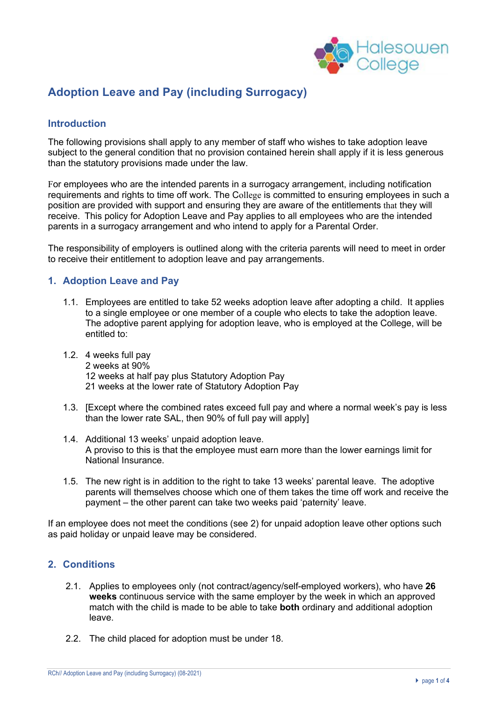

# **Adoption Leave and Pay (including Surrogacy)**

### **Introduction**

The following provisions shall apply to any member of staff who wishes to take adoption leave subject to the general condition that no provision contained herein shall apply if it is less generous than the statutory provisions made under the law.

For employees who are the intended parents in a surrogacy arrangement, including notification requirements and rights to time off work. The College is committed to ensuring employees in such a position are provided with support and ensuring they are aware of the entitlements that they will receive. This policy for Adoption Leave and Pay applies to all employees who are the intended parents in a surrogacy arrangement and who intend to apply for a Parental Order.

The responsibility of employers is outlined along with the criteria parents will need to meet in order to receive their entitlement to adoption leave and pay arrangements.

### **1. Adoption Leave and Pay**

- 1.1. Employees are entitled to take 52 weeks adoption leave after adopting a child. It applies to a single employee or one member of a couple who elects to take the adoption leave. The adoptive parent applying for adoption leave, who is employed at the College, will be entitled to:
- 1.2. 4 weeks full pay 2 weeks at 90% 12 weeks at half pay plus Statutory Adoption Pay 21 weeks at the lower rate of Statutory Adoption Pay
- 1.3. [Except where the combined rates exceed full pay and where a normal week's pay is less than the lower rate SAL, then 90% of full pay will apply]
- 1.4. Additional 13 weeks' unpaid adoption leave. A proviso to this is that the employee must earn more than the lower earnings limit for National Insurance.
- 1.5. The new right is in addition to the right to take 13 weeks' parental leave. The adoptive parents will themselves choose which one of them takes the time off work and receive the payment – the other parent can take two weeks paid 'paternity' leave.

If an employee does not meet the conditions (see 2) for unpaid adoption leave other options such as paid holiday or unpaid leave may be considered.

## **2. Conditions**

- 2.1. Applies to employees only (not contract/agency/self-employed workers), who have **26 weeks** continuous service with the same employer by the week in which an approved match with the child is made to be able to take **both** ordinary and additional adoption leave.
- 2.2. The child placed for adoption must be under 18.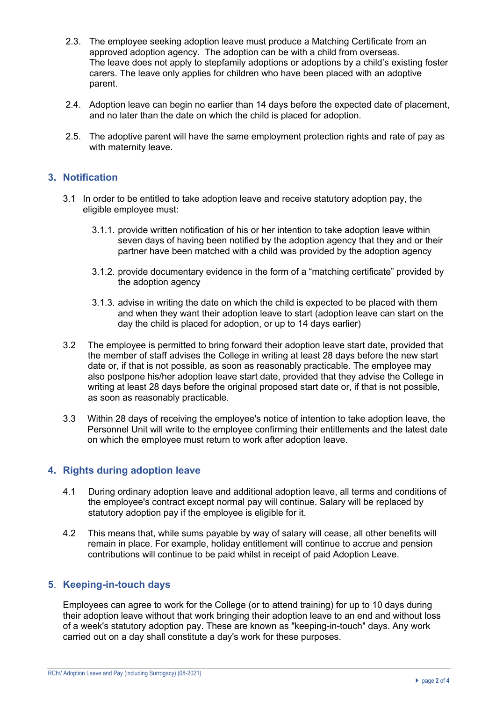- 2.3. The employee seeking adoption leave must produce a Matching Certificate from an approved adoption agency. The adoption can be with a child from overseas. The leave does not apply to stepfamily adoptions or adoptions by a child's existing foster carers. The leave only applies for children who have been placed with an adoptive parent.
- 2.4. Adoption leave can begin no earlier than 14 days before the expected date of placement, and no later than the date on which the child is placed for adoption.
- 2.5. The adoptive parent will have the same employment protection rights and rate of pay as with maternity leave.

### **3. Notification**

- 3.1 In order to be entitled to take adoption leave and receive statutory adoption pay, the eligible employee must:
	- 3.1.1. provide written notification of his or her intention to take adoption leave within seven days of having been notified by the adoption agency that they and or their partner have been matched with a child was provided by the adoption agency
	- 3.1.2. provide documentary evidence in the form of a "matching certificate" provided by the adoption agency
	- 3.1.3. advise in writing the date on which the child is expected to be placed with them and when they want their adoption leave to start (adoption leave can start on the day the child is placed for adoption, or up to 14 days earlier)
- 3.2 The employee is permitted to bring forward their adoption leave start date, provided that the member of staff advises the College in writing at least 28 days before the new start date or, if that is not possible, as soon as reasonably practicable. The employee may also postpone his/her adoption leave start date, provided that they advise the College in writing at least 28 days before the original proposed start date or, if that is not possible, as soon as reasonably practicable.
- 3.3 Within 28 days of receiving the employee's notice of intention to take adoption leave, the Personnel Unit will write to the employee confirming their entitlements and the latest date on which the employee must return to work after adoption leave.

# **4. Rights during adoption leave**

- 4.1 During ordinary adoption leave and additional adoption leave, all terms and conditions of the employee's contract except normal pay will continue. Salary will be replaced by statutory adoption pay if the employee is eligible for it.
- 4.2 This means that, while sums payable by way of salary will cease, all other benefits will remain in place. For example, holiday entitlement will continue to accrue and pension contributions will continue to be paid whilst in receipt of paid Adoption Leave.

# **5**. **Keeping-in-touch days**

Employees can agree to work for the College (or to attend training) for up to 10 days during their adoption leave without that work bringing their adoption leave to an end and without loss of a week's statutory adoption pay. These are known as "keeping-in-touch" days. Any work carried out on a day shall constitute a day's work for these purposes.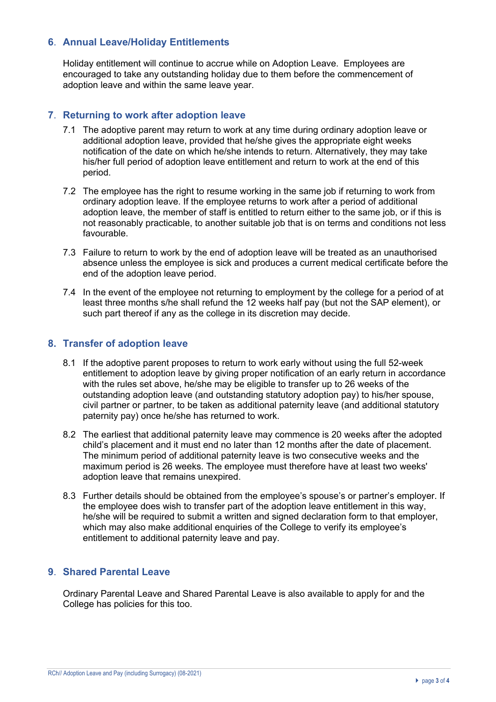# **6**. **Annual Leave/Holiday Entitlements**

Holiday entitlement will continue to accrue while on Adoption Leave. Employees are encouraged to take any outstanding holiday due to them before the commencement of adoption leave and within the same leave year.

#### **7**. **Returning to work after adoption leave**

- 7.1 The adoptive parent may return to work at any time during ordinary adoption leave or additional adoption leave, provided that he/she gives the appropriate eight weeks notification of the date on which he/she intends to return. Alternatively, they may take his/her full period of adoption leave entitlement and return to work at the end of this period.
- 7.2 The employee has the right to resume working in the same job if returning to work from ordinary adoption leave. If the employee returns to work after a period of additional adoption leave, the member of staff is entitled to return either to the same job, or if this is not reasonably practicable, to another suitable job that is on terms and conditions not less favourable.
- 7.3 Failure to return to work by the end of adoption leave will be treated as an unauthorised absence unless the employee is sick and produces a current medical certificate before the end of the adoption leave period.
- 7.4 In the event of the employee not returning to employment by the college for a period of at least three months s/he shall refund the 12 weeks half pay (but not the SAP element), or such part thereof if any as the college in its discretion may decide.

### **8. Transfer of adoption leave**

- 8.1 If the adoptive parent proposes to return to work early without using the full 52-week entitlement to adoption leave by giving proper notification of an early return in accordance with the rules set above, he/she may be eligible to transfer up to 26 weeks of the outstanding adoption leave (and outstanding statutory adoption pay) to his/her spouse, civil partner or partner, to be taken as additional paternity leave (and additional statutory paternity pay) once he/she has returned to work.
- 8.2 The earliest that additional paternity leave may commence is 20 weeks after the adopted child's placement and it must end no later than 12 months after the date of placement. The minimum period of additional paternity leave is two consecutive weeks and the maximum period is 26 weeks. The employee must therefore have at least two weeks' adoption leave that remains unexpired.
- 8.3 Further details should be obtained from the employee's spouse's or partner's employer. If the employee does wish to transfer part of the adoption leave entitlement in this way, he/she will be required to submit a written and signed declaration form to that employer. which may also make additional enquiries of the College to verify its employee's entitlement to additional paternity leave and pay.

# **9**. **Shared Parental Leave**

Ordinary Parental Leave and Shared Parental Leave is also available to apply for and the College has policies for this too.